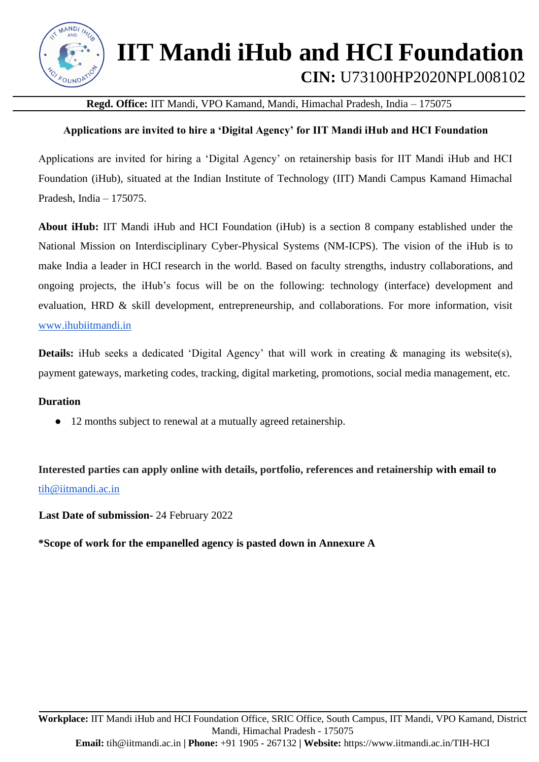

## **IIT Mandi iHub and HCI Foundation CIN:** U73100HP2020NPL008102

**Regd. Office:** IIT Mandi, VPO Kamand, Mandi, Himachal Pradesh, India – 175075

### **Applications are invited to hire a 'Digital Agency' for IIT Mandi iHub and HCI Foundation**

Applications are invited for hiring a 'Digital Agency' on retainership basis for IIT Mandi iHub and HCI Foundation (iHub), situated at the Indian Institute of Technology (IIT) Mandi Campus Kamand Himachal Pradesh, India – 175075.

**About iHub:** IIT Mandi iHub and HCI Foundation (iHub) is a section 8 company established under the National Mission on Interdisciplinary Cyber-Physical Systems (NM-ICPS). The vision of the iHub is to make India a leader in HCI research in the world. Based on faculty strengths, industry collaborations, and ongoing projects, the iHub's focus will be on the following: technology (interface) development and evaluation, HRD & skill development, entrepreneurship, and collaborations. For more information, visit [www.ihubiitmandi.in](http://www.ihubiitmandi.in/)

**Details:** iHub seeks a dedicated 'Digital Agency' that will work in creating & managing its website(s), payment gateways, marketing codes, tracking, digital marketing, promotions, social media management, etc.

#### **Duration**

● 12 months subject to renewal at a mutually agreed retainership.

**Interested parties can apply online with details, portfolio, references and retainership with email to** [tih@iitmandi.ac.in](mailto:tih@iitmandi.ac.in)

**Last Date of submission-** 24 February 2022

**\*Scope of work for the empanelled agency is pasted down in Annexure A**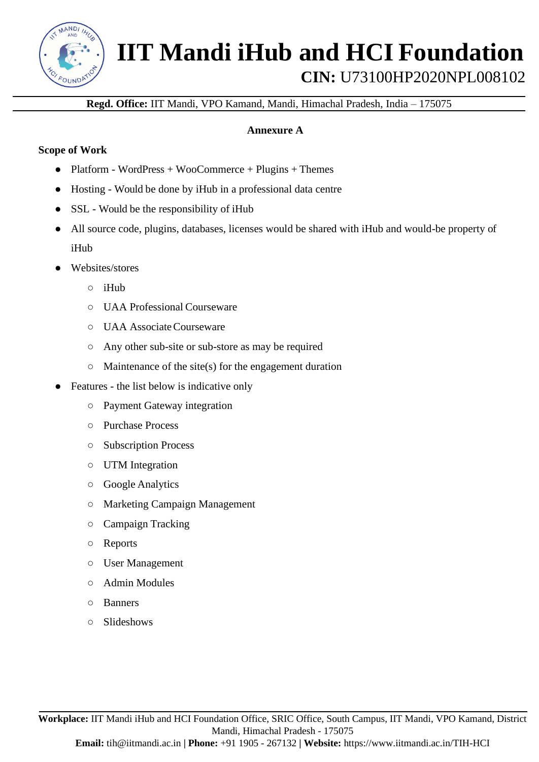

# **IIT Mandi iHub and HCI Foundation**

## **CIN:** U73100HP2020NPL008102

**Regd. Office:** IIT Mandi, VPO Kamand, Mandi, Himachal Pradesh, India – 175075

### **Annexure A**

#### **Scope of Work**

- Platform WordPress + WooCommerce + Plugins + Themes
- Hosting Would be done by iHub in a professional data centre
- SSL Would be the responsibility of iHub
- All source code, plugins, databases, licenses would be shared with iHub and would-be property of iHub
- Websites/stores
	- iHub
	- UAA Professional Courseware
	- UAA AssociateCourseware
	- Any other sub-site or sub-store as may be required
	- $\circ$  Maintenance of the site(s) for the engagement duration
- Features the list below is indicative only
	- Payment Gateway integration
	- Purchase Process
	- Subscription Process
	- UTM Integration
	- Google Analytics
	- Marketing Campaign Management
	- Campaign Tracking
	- Reports
	- User Management
	- Admin Modules
	- Banners
	- Slideshows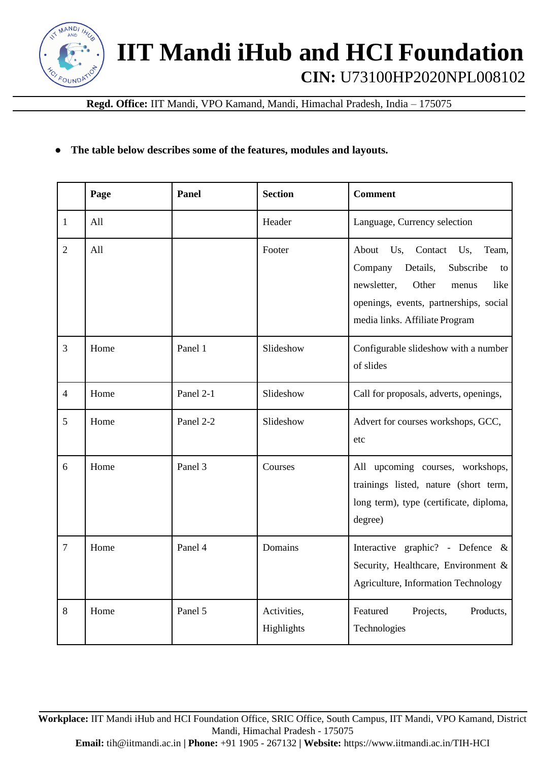

## **IIT Mandi iHub and HCI Foundation CIN:** U73100HP2020NPL008102

**Regd. Office:** IIT Mandi, VPO Kamand, Mandi, Himachal Pradesh, India – 175075

### **● The table below describes some of the features, modules and layouts.**

|                | Page | <b>Panel</b> | <b>Section</b>            | <b>Comment</b>                                                                                                                                                                                      |
|----------------|------|--------------|---------------------------|-----------------------------------------------------------------------------------------------------------------------------------------------------------------------------------------------------|
| $\mathbf{1}$   | All  |              | Header                    | Language, Currency selection                                                                                                                                                                        |
| $\overline{2}$ | All  |              | Footer                    | About<br>Us,<br>Contact Us,<br>Team,<br>Company<br>Details,<br>Subscribe<br>to<br>newsletter,<br>Other<br>like<br>menus<br>openings, events, partnerships, social<br>media links. Affiliate Program |
| 3              | Home | Panel 1      | Slideshow                 | Configurable slideshow with a number<br>of slides                                                                                                                                                   |
| $\overline{4}$ | Home | Panel 2-1    | Slideshow                 | Call for proposals, adverts, openings,                                                                                                                                                              |
| 5              | Home | Panel 2-2    | Slideshow                 | Advert for courses workshops, GCC,<br>etc                                                                                                                                                           |
| 6              | Home | Panel 3      | Courses                   | All upcoming courses, workshops,<br>trainings listed, nature (short term,<br>long term), type (certificate, diploma,<br>degree)                                                                     |
| $\tau$         | Home | Panel 4      | Domains                   | Interactive graphic? - Defence $\&$<br>Security, Healthcare, Environment &<br>Agriculture, Information Technology                                                                                   |
| 8              | Home | Panel 5      | Activities,<br>Highlights | Featured<br>Projects,<br>Products,<br>Technologies                                                                                                                                                  |

**Workplace:** IIT Mandi iHub and HCI Foundation Office, SRIC Office, South Campus, IIT Mandi, VPO Kamand, District Mandi, Himachal Pradesh - 175075 **Email:** [tih@iitmandi.ac.in](mailto:tih@iitmandi.ac.in) **| Phone:** +91 1905 - 267132 **| Website:** https:/[/www.iitmandi.ac.in/TIH-HCI](http://www.iitmandi.ac.in/TIH-HCI)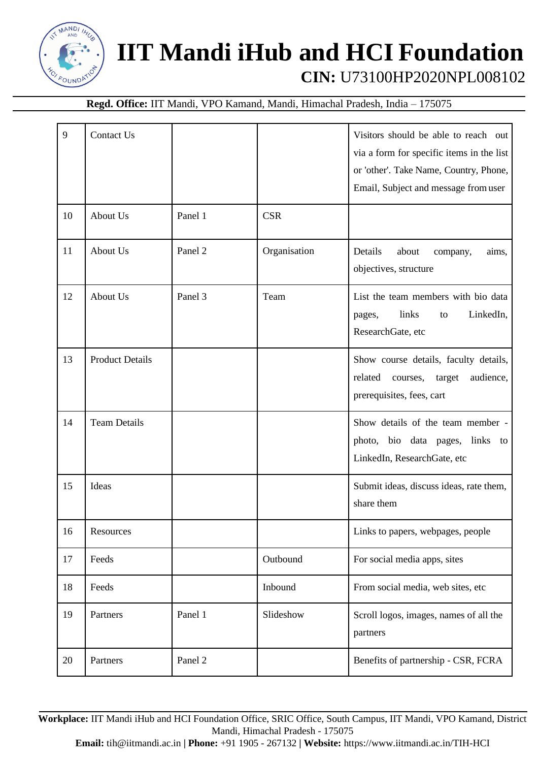

# **IIT Mandi iHub and HCI Foundation**

### **CIN:** U73100HP2020NPL008102

**Regd. Office:** IIT Mandi, VPO Kamand, Mandi, Himachal Pradesh, India – 175075

| 9  | Contact Us             |         |              | Visitors should be able to reach out<br>via a form for specific items in the list<br>or 'other'. Take Name, Country, Phone,<br>Email, Subject and message from user |
|----|------------------------|---------|--------------|---------------------------------------------------------------------------------------------------------------------------------------------------------------------|
| 10 | About Us               | Panel 1 | <b>CSR</b>   |                                                                                                                                                                     |
| 11 | About Us               | Panel 2 | Organisation | Details<br>about<br>aims,<br>company,<br>objectives, structure                                                                                                      |
| 12 | About Us               | Panel 3 | Team         | List the team members with bio data<br>LinkedIn,<br>links<br>pages,<br>to<br>ResearchGate, etc                                                                      |
| 13 | <b>Product Details</b> |         |              | Show course details, faculty details,<br>target<br>audience,<br>related<br>courses,<br>prerequisites, fees, cart                                                    |
| 14 | <b>Team Details</b>    |         |              | Show details of the team member -<br>photo, bio data pages, links to<br>LinkedIn, ResearchGate, etc                                                                 |
| 15 | Ideas                  |         |              | Submit ideas, discuss ideas, rate them,<br>share them                                                                                                               |
| 16 | Resources              |         |              | Links to papers, webpages, people                                                                                                                                   |
| 17 | Feeds                  |         | Outbound     | For social media apps, sites                                                                                                                                        |
| 18 | Feeds                  |         | Inbound      | From social media, web sites, etc                                                                                                                                   |
| 19 | Partners               | Panel 1 | Slideshow    | Scroll logos, images, names of all the<br>partners                                                                                                                  |
| 20 | Partners               | Panel 2 |              | Benefits of partnership - CSR, FCRA                                                                                                                                 |

**Workplace:** IIT Mandi iHub and HCI Foundation Office, SRIC Office, South Campus, IIT Mandi, VPO Kamand, District Mandi, Himachal Pradesh - 175075 **Email:** [tih@iitmandi.ac.in](mailto:tih@iitmandi.ac.in) **| Phone:** +91 1905 - 267132 **| Website:** https:/[/www.iitmandi.ac.in/TIH-HCI](http://www.iitmandi.ac.in/TIH-HCI)